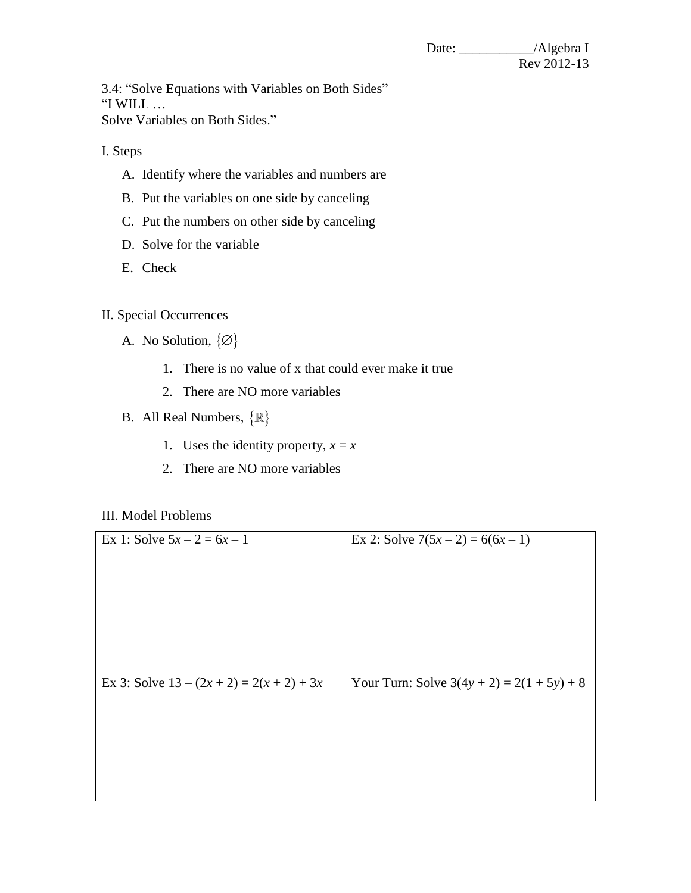3.4: "Solve Equations with Variables on Both Sides" "I WILL … Solve Variables on Both Sides."

I. Steps

- A. Identify where the variables and numbers are
- B. Put the variables on one side by canceling
- C. Put the numbers on other side by canceling
- D. Solve for the variable
- E. Check

II. Special Occurrences

- A. No Solution,  $\{\emptyset\}$ 
	- 1. There is no value of x that could ever make it true
	- 2. There are NO more variables
- B. All Real Numbers,  $\{\mathbb{R}\}\$ 
	- 1. Uses the identity property,  $x = x$
	- 2. There are NO more variables

## III. Model Problems

| Ex 1: Solve $5x - 2 = 6x - 1$               | Ex 2: Solve $7(5x-2) = 6(6x-1)$              |
|---------------------------------------------|----------------------------------------------|
| Ex 3: Solve $13 - (2x + 2) = 2(x + 2) + 3x$ | Your Turn: Solve $3(4y + 2) = 2(1 + 5y) + 8$ |